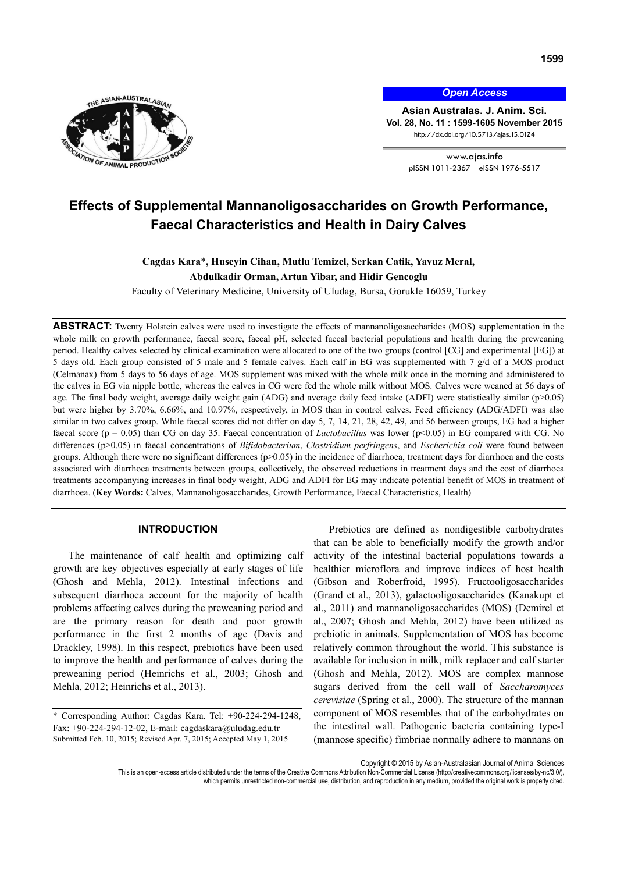

*Open Access*

**Asian Australas. J. Anim. Sci. Vol. 28, No. 11 : 1599-1605 November 2015** http://dx.doi.org/10.5713/ajas.15.0124

> www.ajas.info pISSN 1011-2367 eISSN 1976-5517

# **Effects of Supplemental Mannanoligosaccharides on Growth Performance, Faecal Characteristics and Health in Dairy Calves**

## **Cagdas Kara**\***, Huseyin Cihan, Mutlu Temizel, Serkan Catik, Yavuz Meral,**

**Abdulkadir Orman, Artun Yibar, and Hidir Gencoglu** 

Faculty of Veterinary Medicine, University of Uludag, Bursa, Gorukle 16059, Turkey

**ABSTRACT:** Twenty Holstein calves were used to investigate the effects of mannanoligosaccharides (MOS) supplementation in the whole milk on growth performance, faecal score, faecal pH, selected faecal bacterial populations and health during the preweaning period. Healthy calves selected by clinical examination were allocated to one of the two groups (control [CG] and experimental [EG]) at 5 days old. Each group consisted of 5 male and 5 female calves. Each calf in EG was supplemented with 7 g/d of a MOS product (Celmanax) from 5 days to 56 days of age. MOS supplement was mixed with the whole milk once in the morning and administered to the calves in EG via nipple bottle, whereas the calves in CG were fed the whole milk without MOS. Calves were weaned at 56 days of age. The final body weight, average daily weight gain (ADG) and average daily feed intake (ADFI) were statistically similar (p>0.05) but were higher by 3.70%, 6.66%, and 10.97%, respectively, in MOS than in control calves. Feed efficiency (ADG/ADFI) was also similar in two calves group. While faecal scores did not differ on day 5, 7, 14, 21, 28, 42, 49, and 56 between groups, EG had a higher faecal score (p = 0.05) than CG on day 35. Faecal concentration of *Lactobacillus* was lower (p<0.05) in EG compared with CG. No differences (p>0.05) in faecal concentrations of *Bifidobacterium*, *Clostridium perfringens*, and *Escherichia coli* were found between groups. Although there were no significant differences (p>0.05) in the incidence of diarrhoea, treatment days for diarrhoea and the costs associated with diarrhoea treatments between groups, collectively, the observed reductions in treatment days and the cost of diarrhoea treatments accompanying increases in final body weight, ADG and ADFI for EG may indicate potential benefit of MOS in treatment of diarrhoea. (**Key Words:** Calves, Mannanoligosaccharides, Growth Performance, Faecal Characteristics, Health)

## **INTRODUCTION**

The maintenance of calf health and optimizing calf growth are key objectives especially at early stages of life (Ghosh and Mehla, 2012). Intestinal infections and subsequent diarrhoea account for the majority of health problems affecting calves during the preweaning period and are the primary reason for death and poor growth performance in the first 2 months of age (Davis and Drackley, 1998). In this respect, prebiotics have been used to improve the health and performance of calves during the preweaning period (Heinrichs et al., 2003; Ghosh and Mehla, 2012; Heinrichs et al., 2013).

Prebiotics are defined as nondigestible carbohydrates that can be able to beneficially modify the growth and/or activity of the intestinal bacterial populations towards a healthier microflora and improve indices of host health (Gibson and Roberfroid, 1995). Fructooligosaccharides (Grand et al., 2013), galactooligosaccharides (Kanakupt et al., 2011) and mannanoligosaccharides (MOS) (Demirel et al., 2007; Ghosh and Mehla, 2012) have been utilized as prebiotic in animals. Supplementation of MOS has become relatively common throughout the world. This substance is available for inclusion in milk, milk replacer and calf starter (Ghosh and Mehla, 2012). MOS are complex mannose sugars derived from the cell wall of *Saccharomyces cerevisiae* (Spring et al., 2000). The structure of the mannan component of MOS resembles that of the carbohydrates on the intestinal wall. Pathogenic bacteria containing type-I (mannose specific) fimbriae normally adhere to mannans on

Copyright © 2015 by Asian-Australasian Journal of Animal Sciences

<sup>\*</sup> Corresponding Author: Cagdas Kara. Tel: +90-224-294-1248, Fax: +90-224-294-12-02, E-mail: cagdaskara@uludag.edu.tr Submitted Feb. 10, 2015; Revised Apr. 7, 2015; Accepted May 1, 2015

This is an open-access article distributed under the terms of the Creative Commons Attribution Non-Commercial License (http://creativecommons.org/licenses/by-nc/3.0/), which permits unrestricted non-commercial use, distribution, and reproduction in any medium, provided the original work is properly cited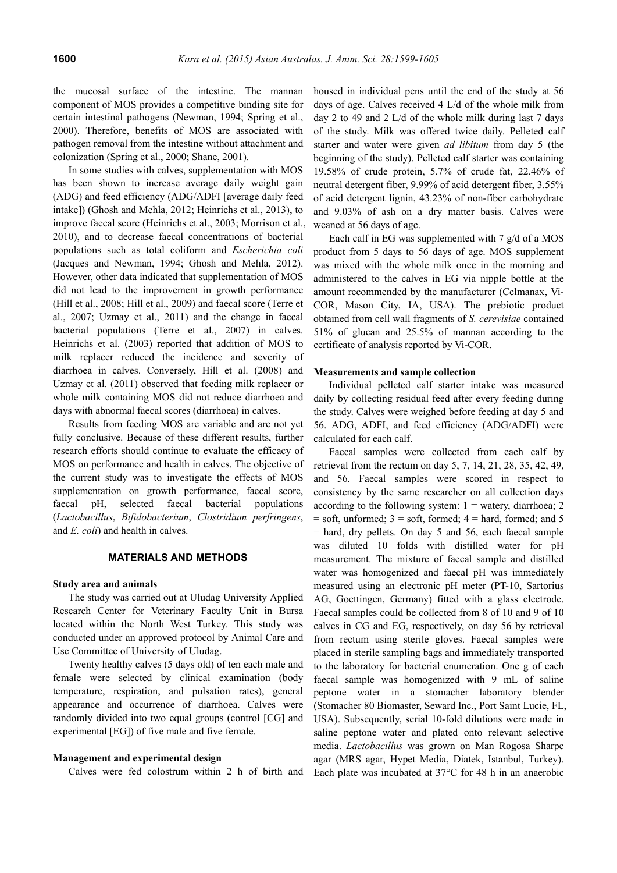the mucosal surface of the intestine. The mannan component of MOS provides a competitive binding site for certain intestinal pathogens (Newman, 1994; Spring et al., 2000). Therefore, benefits of MOS are associated with pathogen removal from the intestine without attachment and colonization (Spring et al., 2000; Shane, 2001).

In some studies with calves, supplementation with MOS has been shown to increase average daily weight gain (ADG) and feed efficiency (ADG/ADFI [average daily feed intake]) (Ghosh and Mehla, 2012; Heinrichs et al., 2013), to improve faecal score (Heinrichs et al., 2003; Morrison et al., 2010), and to decrease faecal concentrations of bacterial populations such as total coliform and *Escherichia coli* (Jacques and Newman, 1994; Ghosh and Mehla, 2012). However, other data indicated that supplementation of MOS did not lead to the improvement in growth performance (Hill et al., 2008; Hill et al., 2009) and faecal score (Terre et al., 2007; Uzmay et al., 2011) and the change in faecal bacterial populations (Terre et al., 2007) in calves. Heinrichs et al. (2003) reported that addition of MOS to milk replacer reduced the incidence and severity of diarrhoea in calves. Conversely, Hill et al. (2008) and Uzmay et al. (2011) observed that feeding milk replacer or whole milk containing MOS did not reduce diarrhoea and days with abnormal faecal scores (diarrhoea) in calves.

Results from feeding MOS are variable and are not yet fully conclusive. Because of these different results, further research efforts should continue to evaluate the efficacy of MOS on performance and health in calves. The objective of the current study was to investigate the effects of MOS supplementation on growth performance, faecal score, faecal pH, selected faecal bacterial populations (*Lactobacillus*, *Bifidobacterium*, *Clostridium perfringens*, and *E. coli*) and health in calves.

## **MATERIALS AND METHODS**

#### **Study area and animals**

The study was carried out at Uludag University Applied Research Center for Veterinary Faculty Unit in Bursa located within the North West Turkey. This study was conducted under an approved protocol by Animal Care and Use Committee of University of Uludag.

Twenty healthy calves (5 days old) of ten each male and female were selected by clinical examination (body temperature, respiration, and pulsation rates), general appearance and occurrence of diarrhoea. Calves were randomly divided into two equal groups (control [CG] and experimental [EG]) of five male and five female.

#### **Management and experimental design**

Calves were fed colostrum within 2 h of birth and

housed in individual pens until the end of the study at 56 days of age. Calves received 4 L/d of the whole milk from day 2 to 49 and 2 L/d of the whole milk during last 7 days of the study. Milk was offered twice daily. Pelleted calf starter and water were given *ad libitum* from day 5 (the beginning of the study). Pelleted calf starter was containing 19.58% of crude protein, 5.7% of crude fat, 22.46% of neutral detergent fiber, 9.99% of acid detergent fiber, 3.55% of acid detergent lignin, 43.23% of non-fiber carbohydrate and 9.03% of ash on a dry matter basis. Calves were weaned at 56 days of age.

Each calf in EG was supplemented with 7 g/d of a MOS product from 5 days to 56 days of age. MOS supplement was mixed with the whole milk once in the morning and administered to the calves in EG via nipple bottle at the amount recommended by the manufacturer (Celmanax, Vi-COR, Mason City, IA, USA). The prebiotic product obtained from cell wall fragments of *S. cerevisiae* contained 51% of glucan and 25.5% of mannan according to the certificate of analysis reported by Vi-COR.

#### **Measurements and sample collection**

Individual pelleted calf starter intake was measured daily by collecting residual feed after every feeding during the study. Calves were weighed before feeding at day 5 and 56. ADG, ADFI, and feed efficiency (ADG/ADFI) were calculated for each calf.

Faecal samples were collected from each calf by retrieval from the rectum on day 5, 7, 14, 21, 28, 35, 42, 49, and 56. Faecal samples were scored in respect to consistency by the same researcher on all collection days according to the following system:  $1 =$  watery, diarrhoea; 2  $=$  soft, unformed;  $3 =$  soft, formed;  $4 =$  hard, formed; and 5  $=$  hard, dry pellets. On day 5 and 56, each faecal sample was diluted 10 folds with distilled water for pH measurement. The mixture of faecal sample and distilled water was homogenized and faecal pH was immediately measured using an electronic pH meter (PT-10, Sartorius AG, Goettingen, Germany) fitted with a glass electrode. Faecal samples could be collected from 8 of 10 and 9 of 10 calves in CG and EG, respectively, on day 56 by retrieval from rectum using sterile gloves. Faecal samples were placed in sterile sampling bags and immediately transported to the laboratory for bacterial enumeration. One g of each faecal sample was homogenized with 9 mL of saline peptone water in a stomacher laboratory blender (Stomacher 80 Biomaster, Seward Inc., Port Saint Lucie, FL, USA). Subsequently, serial 10-fold dilutions were made in saline peptone water and plated onto relevant selective media. *Lactobacillus* was grown on Man Rogosa Sharpe agar (MRS agar, Hypet Media, Diatek, Istanbul, Turkey). Each plate was incubated at 37°C for 48 h in an anaerobic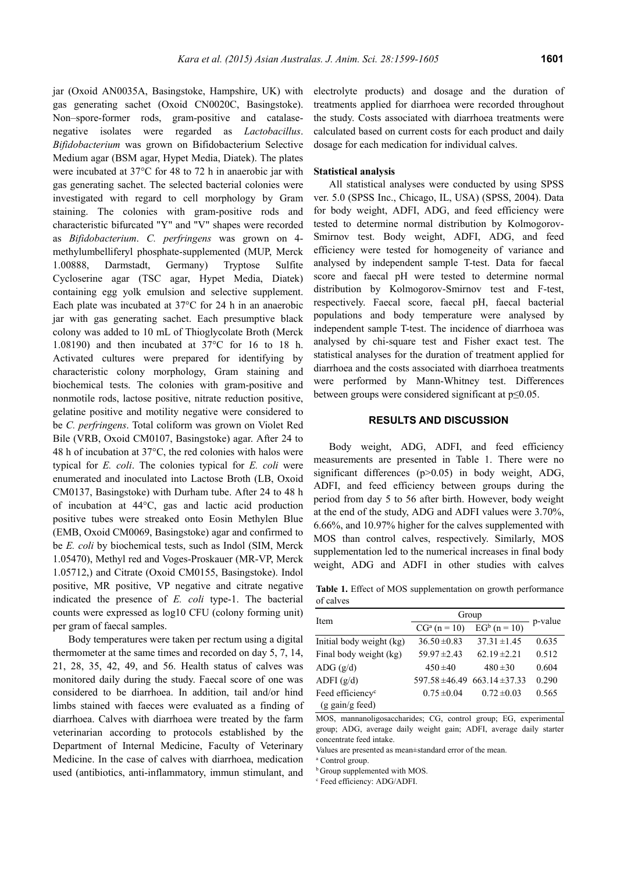jar (Oxoid AN0035A, Basingstoke, Hampshire, UK) with gas generating sachet (Oxoid CN0020C, Basingstoke). Non–spore-former rods, gram-positive and catalasenegative isolates were regarded as *Lactobacillus*. *Bifidobacterium* was grown on Bifidobacterium Selective Medium agar (BSM agar, Hypet Media, Diatek). The plates were incubated at 37°C for 48 to 72 h in anaerobic jar with gas generating sachet. The selected bacterial colonies were investigated with regard to cell morphology by Gram staining. The colonies with gram-positive rods and characteristic bifurcated "Y" and "V" shapes were recorded as *Bifidobacterium*. *C. perfringens* was grown on 4 methylumbelliferyl phosphate-supplemented (MUP, Merck 1.00888, Darmstadt, Germany) Tryptose Sulfite Cycloserine agar (TSC agar, Hypet Media, Diatek) containing egg yolk emulsion and selective supplement. Each plate was incubated at 37°C for 24 h in an anaerobic jar with gas generating sachet. Each presumptive black colony was added to 10 mL of Thioglycolate Broth (Merck 1.08190) and then incubated at 37°C for 16 to 18 h. Activated cultures were prepared for identifying by characteristic colony morphology, Gram staining and biochemical tests. The colonies with gram-positive and nonmotile rods, lactose positive, nitrate reduction positive, gelatine positive and motility negative were considered to be *C. perfringens*. Total coliform was grown on Violet Red Bile (VRB, Oxoid CM0107, Basingstoke) agar. After 24 to 48 h of incubation at 37°C, the red colonies with halos were typical for *E. coli*. The colonies typical for *E. coli* were enumerated and inoculated into Lactose Broth (LB, Oxoid CM0137, Basingstoke) with Durham tube. After 24 to 48 h of incubation at 44°C, gas and lactic acid production positive tubes were streaked onto Eosin Methylen Blue (EMB, Oxoid CM0069, Basingstoke) agar and confirmed to be *E. coli* by biochemical tests, such as Indol (SIM, Merck 1.05470), Methyl red and Voges-Proskauer (MR-VP, Merck 1.05712,) and Citrate (Oxoid CM0155, Basingstoke). Indol positive, MR positive, VP negative and citrate negative indicated the presence of *E. coli* type-1. The bacterial counts were expressed as log10 CFU (colony forming unit) per gram of faecal samples.

Body temperatures were taken per rectum using a digital thermometer at the same times and recorded on day 5, 7, 14, 21, 28, 35, 42, 49, and 56. Health status of calves was monitored daily during the study. Faecal score of one was considered to be diarrhoea. In addition, tail and/or hind limbs stained with faeces were evaluated as a finding of diarrhoea. Calves with diarrhoea were treated by the farm veterinarian according to protocols established by the Department of Internal Medicine, Faculty of Veterinary Medicine. In the case of calves with diarrhoea, medication used (antibiotics, anti-inflammatory, immun stimulant, and electrolyte products) and dosage and the duration of treatments applied for diarrhoea were recorded throughout the study. Costs associated with diarrhoea treatments were calculated based on current costs for each product and daily dosage for each medication for individual calves.

#### **Statistical analysis**

All statistical analyses were conducted by using SPSS ver. 5.0 (SPSS Inc., Chicago, IL, USA) (SPSS, 2004). Data for body weight, ADFI, ADG, and feed efficiency were tested to determine normal distribution by Kolmogorov-Smirnov test. Body weight, ADFI, ADG, and feed efficiency were tested for homogeneity of variance and analysed by independent sample T-test. Data for faecal score and faecal pH were tested to determine normal distribution by Kolmogorov-Smirnov test and F-test, respectively. Faecal score, faecal pH, faecal bacterial populations and body temperature were analysed by independent sample T-test. The incidence of diarrhoea was analysed by chi-square test and Fisher exact test. The statistical analyses for the duration of treatment applied for diarrhoea and the costs associated with diarrhoea treatments were performed by Mann-Whitney test. Differences between groups were considered significant at p≤0.05.

## **RESULTS AND DISCUSSION**

Body weight, ADG, ADFI, and feed efficiency measurements are presented in Table 1. There were no significant differences (p>0.05) in body weight, ADG, ADFI, and feed efficiency between groups during the period from day 5 to 56 after birth. However, body weight at the end of the study, ADG and ADFI values were 3.70%, 6.66%, and 10.97% higher for the calves supplemented with MOS than control calves, respectively. Similarly, MOS supplementation led to the numerical increases in final body weight, ADG and ADFI in other studies with calves

**Table 1.** Effect of MOS supplementation on growth performance of calves

| Item                         | Group              |                    |         |
|------------------------------|--------------------|--------------------|---------|
|                              | $CGa (n = 10)$     | $EG^{b} (n = 10)$  | p-value |
| Initial body weight (kg)     | $36.50 \pm 0.83$   | $37.31 \pm 1.45$   | 0.635   |
| Final body weight (kg)       | $59.97 \pm 2.43$   | $62.19 \pm 2.21$   | 0.512   |
| ADG $(g/d)$                  | $450 \pm 40$       | $480 \pm 30$       | 0.604   |
| ADFI $(g/d)$                 | $597.58 \pm 46.49$ | $663.14 \pm 37.33$ | 0.290   |
| Feed efficiency <sup>c</sup> | $0.75 \pm 0.04$    | $0.72 \pm 0.03$    | 0.565   |
| (g gain/g feed)              |                    |                    |         |

MOS, mannanoligosaccharides; CG, control group; EG, experimental group; ADG, average daily weight gain; ADFI, average daily starter concentrate feed intake.

Values are presented as mean±standard error of the mean.

a Control group.

**b** Group supplemented with MOS.

c Feed efficiency: ADG/ADFI.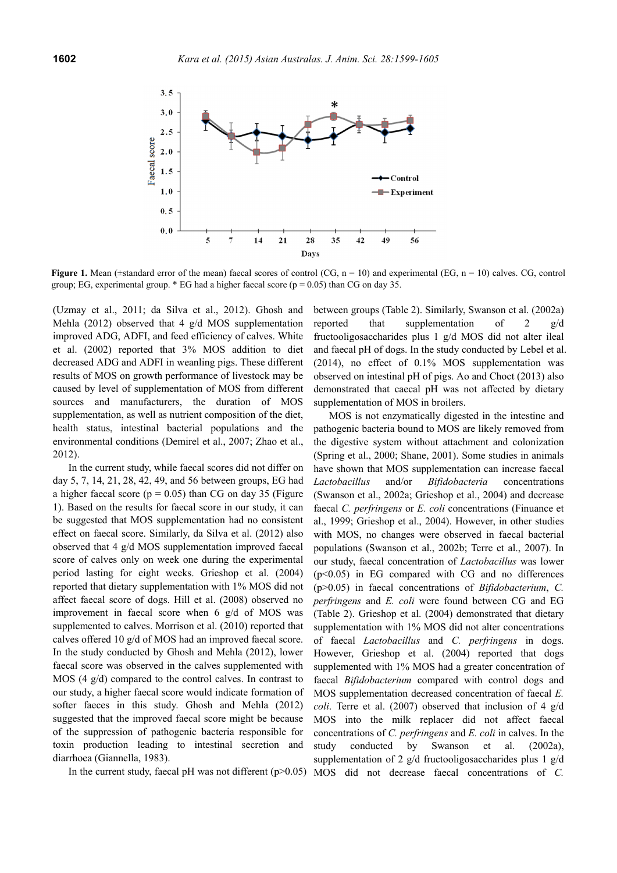

**Figure 1.** Mean ( $\pm$ standard error of the mean) faecal scores of control (CG, n = 10) and experimental (EG, n = 10) calves. CG, control group; EG, experimental group.  $*$  EG had a higher faecal score ( $p = 0.05$ ) than CG on day 35.

(Uzmay et al., 2011; da Silva et al., 2012). Ghosh and Mehla (2012) observed that 4 g/d MOS supplementation improved ADG, ADFI, and feed efficiency of calves. White et al. (2002) reported that 3% MOS addition to diet decreased ADG and ADFI in weanling pigs. These different results of MOS on growth performance of livestock may be caused by level of supplementation of MOS from different sources and manufacturers, the duration of MOS supplementation, as well as nutrient composition of the diet, health status, intestinal bacterial populations and the environmental conditions (Demirel et al., 2007; Zhao et al., 2012).

In the current study, while faecal scores did not differ on day 5, 7, 14, 21, 28, 42, 49, and 56 between groups, EG had a higher faecal score ( $p = 0.05$ ) than CG on day 35 (Figure 1). Based on the results for faecal score in our study, it can be suggested that MOS supplementation had no consistent effect on faecal score. Similarly, da Silva et al. (2012) also observed that 4 g/d MOS supplementation improved faecal score of calves only on week one during the experimental period lasting for eight weeks. Grieshop et al. (2004) reported that dietary supplementation with 1% MOS did not affect faecal score of dogs. Hill et al. (2008) observed no improvement in faecal score when 6 g/d of MOS was supplemented to calves. Morrison et al. (2010) reported that calves offered 10 g/d of MOS had an improved faecal score. In the study conducted by Ghosh and Mehla (2012), lower faecal score was observed in the calves supplemented with MOS (4 g/d) compared to the control calves. In contrast to our study, a higher faecal score would indicate formation of softer faeces in this study. Ghosh and Mehla (2012) suggested that the improved faecal score might be because of the suppression of pathogenic bacteria responsible for toxin production leading to intestinal secretion and diarrhoea (Giannella, 1983).

between groups (Table 2). Similarly, Swanson et al. (2002a) reported that supplementation of 2 g/d fructooligosaccharides plus 1 g/d MOS did not alter ileal and faecal pH of dogs. In the study conducted by Lebel et al. (2014), no effect of 0.1% MOS supplementation was observed on intestinal pH of pigs. Ao and Choct (2013) also demonstrated that caecal pH was not affected by dietary supplementation of MOS in broilers.

In the current study, faecal pH was not different (p>0.05) MOS did not decrease faecal concentrations of *C.*  MOS is not enzymatically digested in the intestine and pathogenic bacteria bound to MOS are likely removed from the digestive system without attachment and colonization (Spring et al., 2000; Shane, 2001). Some studies in animals have shown that MOS supplementation can increase faecal *Lactobacillus* and/or *Bifidobacteria* concentrations (Swanson et al., 2002a; Grieshop et al., 2004) and decrease faecal *C. perfringens* or *E. coli* concentrations (Finuance et al., 1999; Grieshop et al., 2004). However, in other studies with MOS, no changes were observed in faecal bacterial populations (Swanson et al., 2002b; Terre et al., 2007). In our study, faecal concentration of *Lactobacillus* was lower  $(p<0.05)$  in EG compared with CG and no differences (p>0.05) in faecal concentrations of *Bifidobacterium*, *C. perfringens* and *E. coli* were found between CG and EG (Table 2). Grieshop et al. (2004) demonstrated that dietary supplementation with 1% MOS did not alter concentrations of faecal *Lactobacillus* and *C. perfringens* in dogs. However, Grieshop et al. (2004) reported that dogs supplemented with 1% MOS had a greater concentration of faecal *Bifidobacterium* compared with control dogs and MOS supplementation decreased concentration of faecal *E. coli*. Terre et al. (2007) observed that inclusion of 4 g/d MOS into the milk replacer did not affect faecal concentrations of *C. perfringens* and *E. coli* in calves. In the study conducted by Swanson et al. (2002a), supplementation of 2  $g/d$  fructooligosaccharides plus 1  $g/d$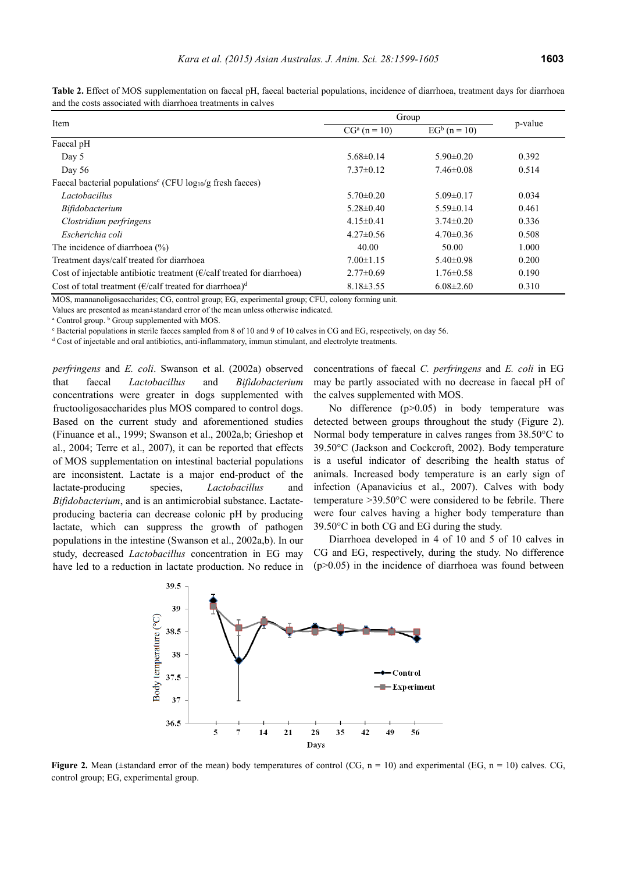|                                                                                   | Group                            |                 |         |  |
|-----------------------------------------------------------------------------------|----------------------------------|-----------------|---------|--|
| Item                                                                              | $EGb$ (n = 10)<br>$CGa (n = 10)$ |                 | p-value |  |
| Faecal pH                                                                         |                                  |                 |         |  |
| Day 5                                                                             | $5.68 \pm 0.14$                  | $5.90 \pm 0.20$ | 0.392   |  |
| Day 56                                                                            | $7.37\pm0.12$                    | $7.46\pm0.08$   | 0.514   |  |
| Faecal bacterial populations <sup>c</sup> (CFU log <sub>10</sub> /g fresh faeces) |                                  |                 |         |  |
| Lactobacillus                                                                     | $5.70 \pm 0.20$                  | $5.09 \pm 0.17$ | 0.034   |  |
| Bifidobacterium                                                                   | $5.28 \pm 0.40$                  | $5.59\pm0.14$   | 0.461   |  |
| Clostridium perfringens                                                           | $4.15 \pm 0.41$                  | $3.74 \pm 0.20$ | 0.336   |  |
| Escherichia coli                                                                  | $4.27 \pm 0.56$                  | $4.70 \pm 0.36$ | 0.508   |  |
| The incidence of diarrhoea $(\% )$                                                | 40.00                            | 50.00           | 1.000   |  |
| Treatment days/calf treated for diarrhoea                                         | $7.00 \pm 1.15$                  | $5.40\pm0.98$   | 0.200   |  |
| Cost of injectable antibiotic treatment ( $\epsilon$ /calf treated for diarrhoea) | $2.77\pm0.69$                    | $1.76 \pm 0.58$ | 0.190   |  |
| Cost of total treatment ( $\epsilon$ /calf treated for diarrhoea) <sup>d</sup>    | $8.18 \pm 3.55$                  | $6.08 \pm 2.60$ | 0.310   |  |

**Table 2.** Effect of MOS supplementation on faecal pH, faecal bacterial populations, incidence of diarrhoea, treatment days for diarrhoea and the costs associated with diarrhoea treatments in calves

MOS, mannanoligosaccharides; CG, control group; EG, experimental group; CFU, colony forming unit.

Values are presented as mean±standard error of the mean unless otherwise indicated.

<sup>a</sup> Control group. <sup>b</sup> Group supplemented with MOS.<br><sup>c</sup> Bacterial populations in sterile faces sampled from

<sup>c</sup> Bacterial populations in sterile faeces sampled from 8 of 10 and 9 of 10 calves in CG and EG, respectively, on day 56.

<sup>d</sup> Cost of injectable and oral antibiotics, anti-inflammatory, immun stimulant, and electrolyte treatments.

*perfringens* and *E. coli*. Swanson et al. (2002a) observed that faecal *Lactobacillus* and *Bifidobacterium* concentrations were greater in dogs supplemented with fructooligosaccharides plus MOS compared to control dogs. Based on the current study and aforementioned studies (Finuance et al., 1999; Swanson et al., 2002a,b; Grieshop et al., 2004; Terre et al., 2007), it can be reported that effects of MOS supplementation on intestinal bacterial populations are inconsistent. Lactate is a major end-product of the lactate-producing species, *Lactobacillus* and *Bifidobacterium*, and is an antimicrobial substance. Lactateproducing bacteria can decrease colonic pH by producing lactate, which can suppress the growth of pathogen populations in the intestine (Swanson et al., 2002a,b). In our study, decreased *Lactobacillus* concentration in EG may have led to a reduction in lactate production. No reduce in

concentrations of faecal *C. perfringens* and *E. coli* in EG may be partly associated with no decrease in faecal pH of the calves supplemented with MOS.

No difference (p>0.05) in body temperature was detected between groups throughout the study (Figure 2). Normal body temperature in calves ranges from 38.50°C to 39.50°C (Jackson and Cockcroft, 2002). Body temperature is a useful indicator of describing the health status of animals. Increased body temperature is an early sign of infection (Apanavicius et al., 2007). Calves with body temperature >39.50°C were considered to be febrile. There were four calves having a higher body temperature than 39.50°C in both CG and EG during the study.

Diarrhoea developed in 4 of 10 and 5 of 10 calves in CG and EG, respectively, during the study. No difference  $(p>0.05)$  in the incidence of diarrhoea was found between



**Figure 2.** Mean ( $\pm$ standard error of the mean) body temperatures of control (CG,  $n = 10$ ) and experimental (EG,  $n = 10$ ) calves. CG, control group; EG, experimental group.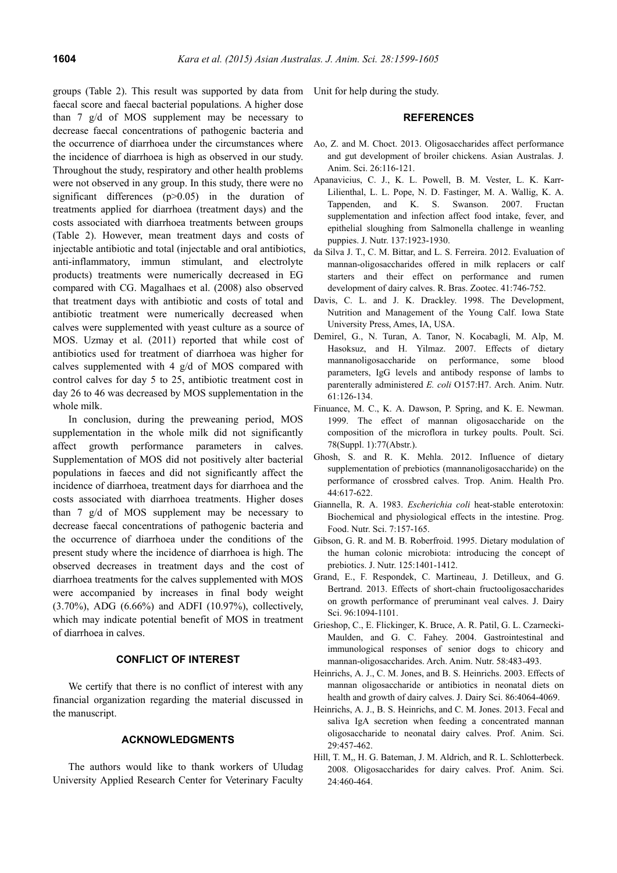groups (Table 2). This result was supported by data from faecal score and faecal bacterial populations. A higher dose than 7 g/d of MOS supplement may be necessary to decrease faecal concentrations of pathogenic bacteria and the occurrence of diarrhoea under the circumstances where the incidence of diarrhoea is high as observed in our study. Throughout the study, respiratory and other health problems were not observed in any group. In this study, there were no significant differences (p>0.05) in the duration of treatments applied for diarrhoea (treatment days) and the costs associated with diarrhoea treatments between groups (Table 2). However, mean treatment days and costs of injectable antibiotic and total (injectable and oral antibiotics, anti-inflammatory, immun stimulant, and electrolyte products) treatments were numerically decreased in EG compared with CG. Magalhaes et al. (2008) also observed that treatment days with antibiotic and costs of total and antibiotic treatment were numerically decreased when calves were supplemented with yeast culture as a source of MOS. Uzmay et al. (2011) reported that while cost of antibiotics used for treatment of diarrhoea was higher for calves supplemented with 4 g/d of MOS compared with control calves for day 5 to 25, antibiotic treatment cost in day 26 to 46 was decreased by MOS supplementation in the whole milk.

In conclusion, during the preweaning period, MOS supplementation in the whole milk did not significantly affect growth performance parameters in calves. Supplementation of MOS did not positively alter bacterial populations in faeces and did not significantly affect the incidence of diarrhoea, treatment days for diarrhoea and the costs associated with diarrhoea treatments. Higher doses than 7 g/d of MOS supplement may be necessary to decrease faecal concentrations of pathogenic bacteria and the occurrence of diarrhoea under the conditions of the present study where the incidence of diarrhoea is high. The observed decreases in treatment days and the cost of diarrhoea treatments for the calves supplemented with MOS were accompanied by increases in final body weight (3.70%), ADG (6.66%) and ADFI (10.97%), collectively, which may indicate potential benefit of MOS in treatment of diarrhoea in calves.

#### **CONFLICT OF INTEREST**

We certify that there is no conflict of interest with any financial organization regarding the material discussed in the manuscript.

## **ACKNOWLEDGMENTS**

The authors would like to thank workers of Uludag University Applied Research Center for Veterinary Faculty

Unit for help during the study.

## **REFERENCES**

- Ao, Z. and M. Choct. 2013. Oligosaccharides affect performance and gut development of broiler chickens. Asian Australas. J. Anim. Sci. 26:116-121.
- Apanavicius, C. J., K. L. Powell, B. M. Vester, L. K. Karr-Lilienthal, L. L. Pope, N. D. Fastinger, M. A. Wallig, K. A. Tappenden, and K. S. Swanson. 2007. Fructan supplementation and infection affect food intake, fever, and epithelial sloughing from Salmonella challenge in weanling puppies. J. Nutr. 137:1923-1930.
- da Silva J. T., C. M. Bittar, and L. S. Ferreira. 2012. Evaluation of mannan-oligosaccharides offered in milk replacers or calf starters and their effect on performance and rumen development of dairy calves. R. Bras. Zootec. 41:746-752.
- Davis, C. L. and J. K. Drackley. 1998. The Development, Nutrition and Management of the Young Calf. Iowa State University Press, Ames, IA, USA.
- Demirel, G., N. Turan, A. Tanor, N. Kocabagli, M. Alp, M. Hasoksuz, and H. Yilmaz. 2007. Effects of dietary mannanoligosaccharide on performance, some blood parameters, IgG levels and antibody response of lambs to parenterally administered *E. coli* O157:H7. Arch. Anim. Nutr. 61:126-134.
- Finuance, M. C., K. A. Dawson, P. Spring, and K. E. Newman. 1999. The effect of mannan oligosaccharide on the composition of the microflora in turkey poults. Poult. Sci. 78(Suppl. 1):77(Abstr.).
- Ghosh, S. and R. K. Mehla. 2012. Influence of dietary supplementation of prebiotics (mannanoligosaccharide) on the performance of crossbred calves. Trop. Anim. Health Pro. 44:617-622.
- Giannella, R. A. 1983. *Escherichia coli* heat-stable enterotoxin: Biochemical and physiological effects in the intestine. Prog. Food. Nutr. Sci. 7:157-165.
- Gibson, G. R. and M. B. Roberfroid. 1995. Dietary modulation of the human colonic microbiota: introducing the concept of prebiotics. J. Nutr. 125:1401-1412.
- Grand, E., F. Respondek, C. Martineau, J. Detilleux, and G. Bertrand. 2013. Effects of short-chain fructooligosaccharides on growth performance of preruminant veal calves. J. Dairy Sci. 96:1094-1101.
- Grieshop, C., E. Flickinger, K. Bruce, A. R. Patil, G. L. Czarnecki-Maulden, and G. C. Fahey. 2004. Gastrointestinal and immunological responses of senior dogs to chicory and mannan-oligosaccharides. Arch. Anim. Nutr. 58:483-493.
- Heinrichs, A. J., C. M. Jones, and B. S. Heinrichs. 2003. Effects of mannan oligosaccharide or antibiotics in neonatal diets on health and growth of dairy calves. J. Dairy Sci. 86:4064-4069.
- Heinrichs, A. J., B. S. Heinrichs, and C. M. Jones. 2013. Fecal and saliva IgA secretion when feeding a concentrated mannan oligosaccharide to neonatal dairy calves. Prof. Anim. Sci. 29:457-462.
- Hill, T. M,, H. G. Bateman, J. M. Aldrich, and R. L. Schlotterbeck. 2008. Oligosaccharides for dairy calves. Prof. Anim. Sci. 24:460-464.